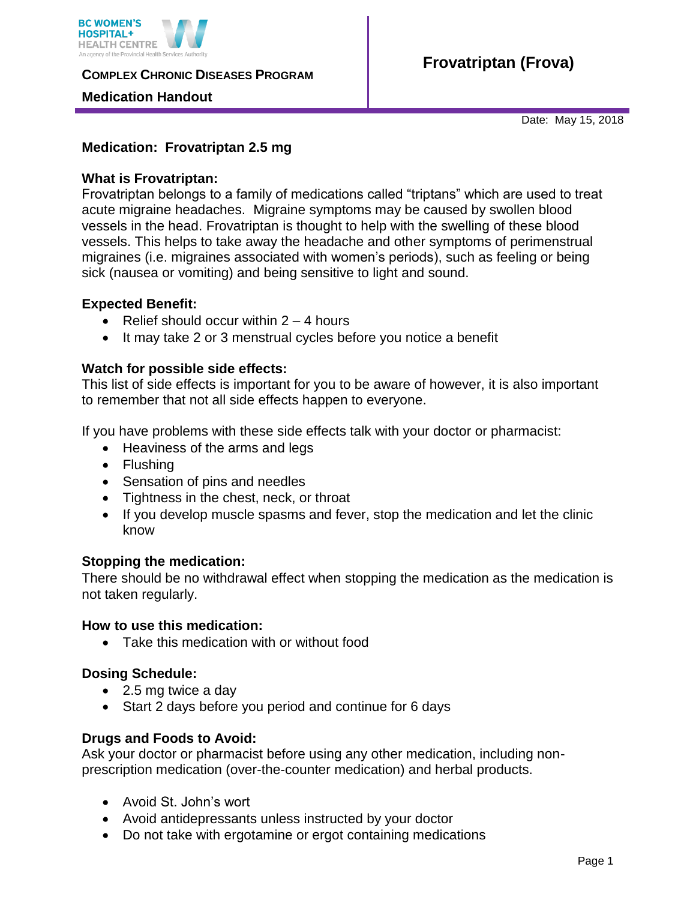

**COMPLEX CHRONIC DISEASES PROGRAM** 

## **Medication Handout**

Date: May 15, 2018

## **Medication: Frovatriptan 2.5 mg**

### **What is Frovatriptan:**

Frovatriptan belongs to a family of medications called "triptans" which are used to treat acute migraine headaches. Migraine symptoms may be caused by swollen blood vessels in the head. Frovatriptan is thought to help with the swelling of these blood vessels. This helps to take away the headache and other symptoms of perimenstrual migraines (i.e. migraines associated with women's periods), such as feeling or being sick (nausea or vomiting) and being sensitive to light and sound.

## **Expected Benefit:**

- Relief should occur within  $2 4$  hours
- It may take 2 or 3 menstrual cycles before you notice a benefit

## **Watch for possible side effects:**

This list of side effects is important for you to be aware of however, it is also important to remember that not all side effects happen to everyone.

If you have problems with these side effects talk with your doctor or pharmacist:

- Heaviness of the arms and legs
- Flushing
- Sensation of pins and needles
- Tightness in the chest, neck, or throat
- If you develop muscle spasms and fever, stop the medication and let the clinic know

#### **Stopping the medication:**

There should be no withdrawal effect when stopping the medication as the medication is not taken regularly.

#### **How to use this medication:**

Take this medication with or without food

#### **Dosing Schedule:**

- 2.5 mg twice a day
- Start 2 days before you period and continue for 6 days

#### **Drugs and Foods to Avoid:**

Ask your doctor or pharmacist before using any other medication, including nonprescription medication (over-the-counter medication) and herbal products.

- Avoid St. John's wort
- Avoid antidepressants unless instructed by your doctor
- Do not take with ergotamine or ergot containing medications